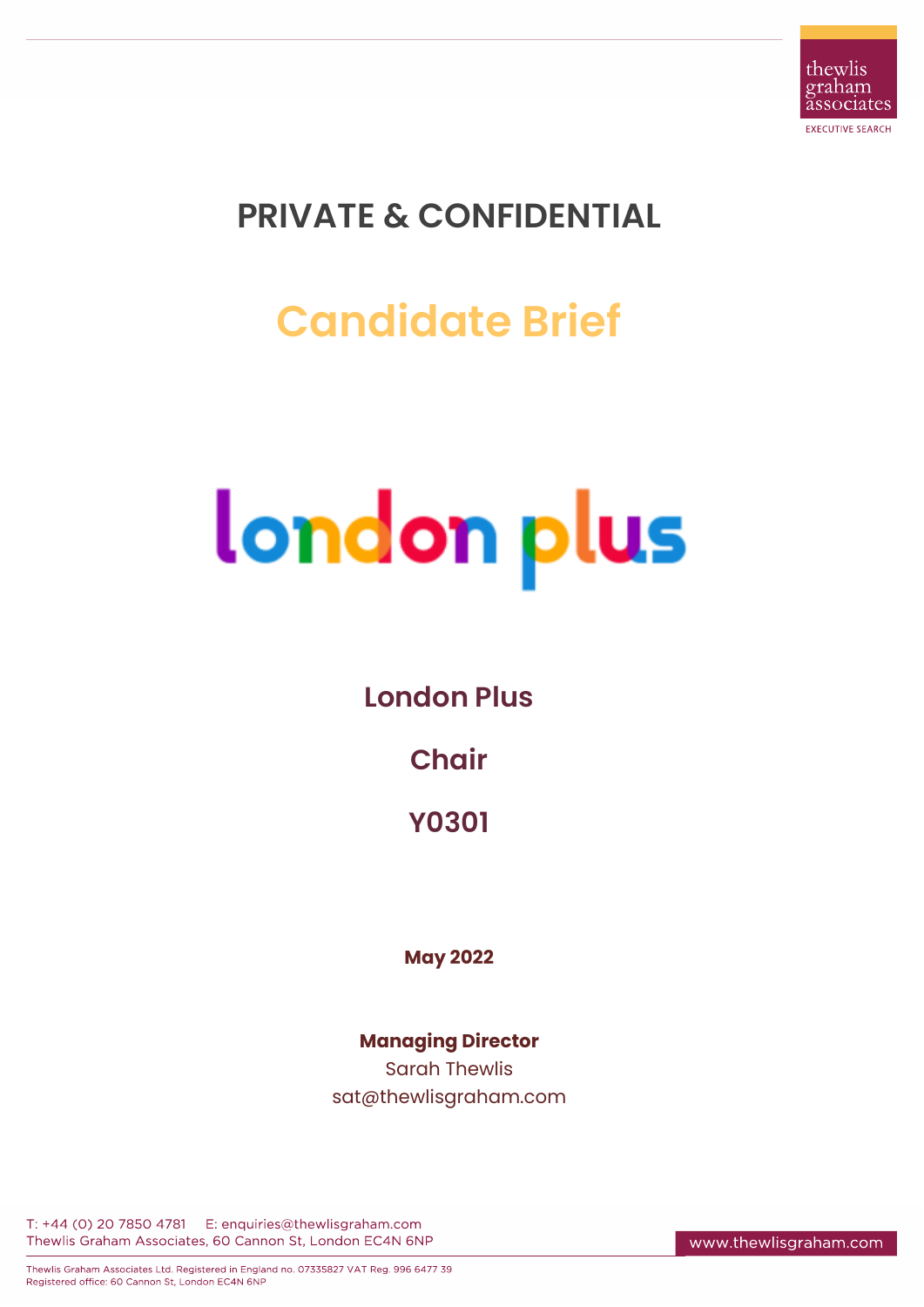

## **PRIVATE & CONFIDENTIAL**

# **Candidate Brief**

# london plus

#### **London Plus**

#### **Chair**

**Y0301**

**May 2022**

#### **Managing Director** Sarah Thewlis sat@thewlisgraham.com

T: +44 (0) 20 7850 4781 E: enquiries@thewlisgraham.com Thewlis Graham Associates, 60 Cannon St, London EC4N 6NP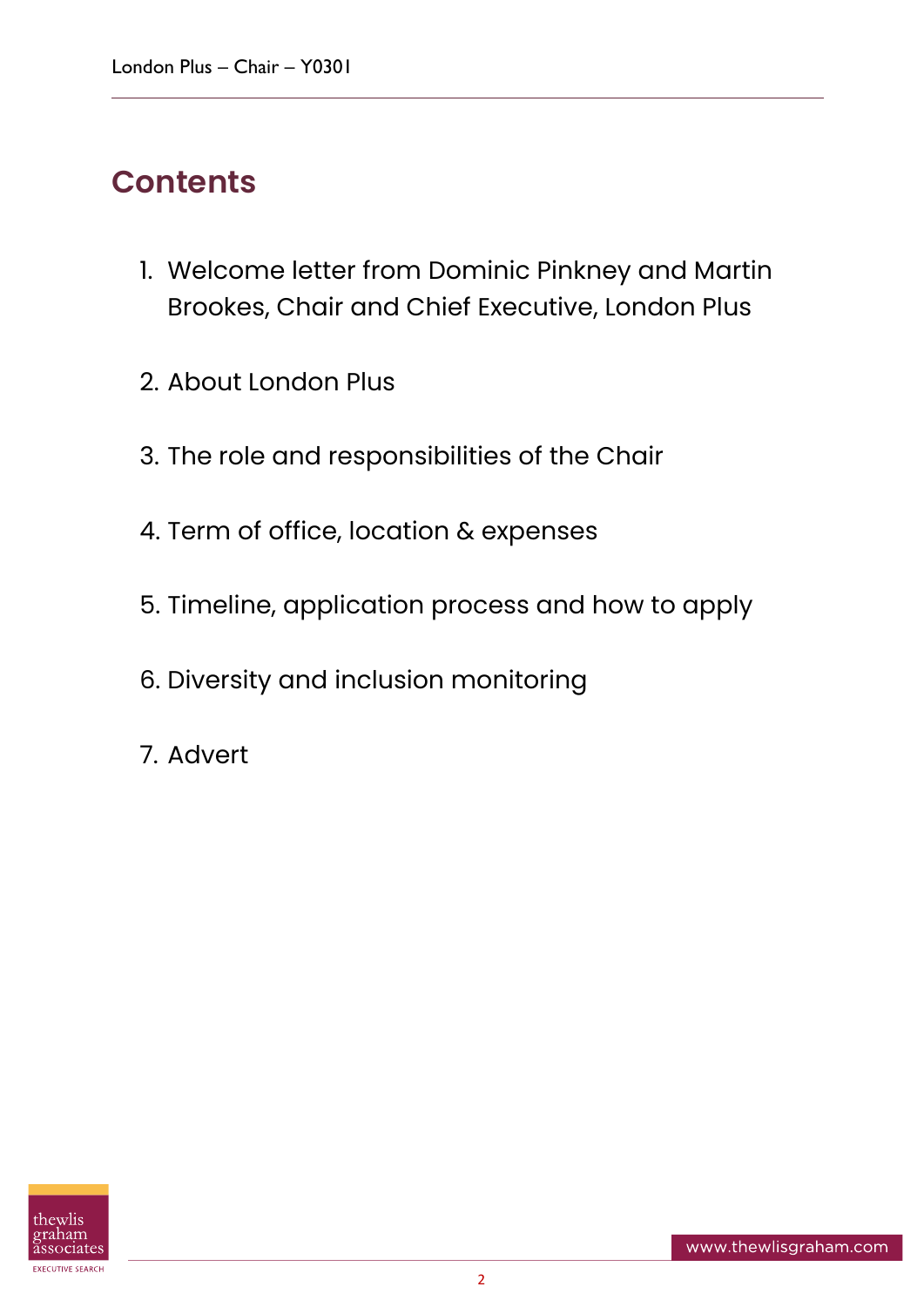### **Contents**

- 1. Welcome letter from Dominic Pinkney and Martin Brookes, Chair and Chief Executive, London Plus
- 2. About London Plus
- 3. The role and responsibilities of the Chair
- 4. Term of office, location & expenses
- 5. Timeline, application process and how to apply
- 6. Diversity and inclusion monitoring
- 7. Advert

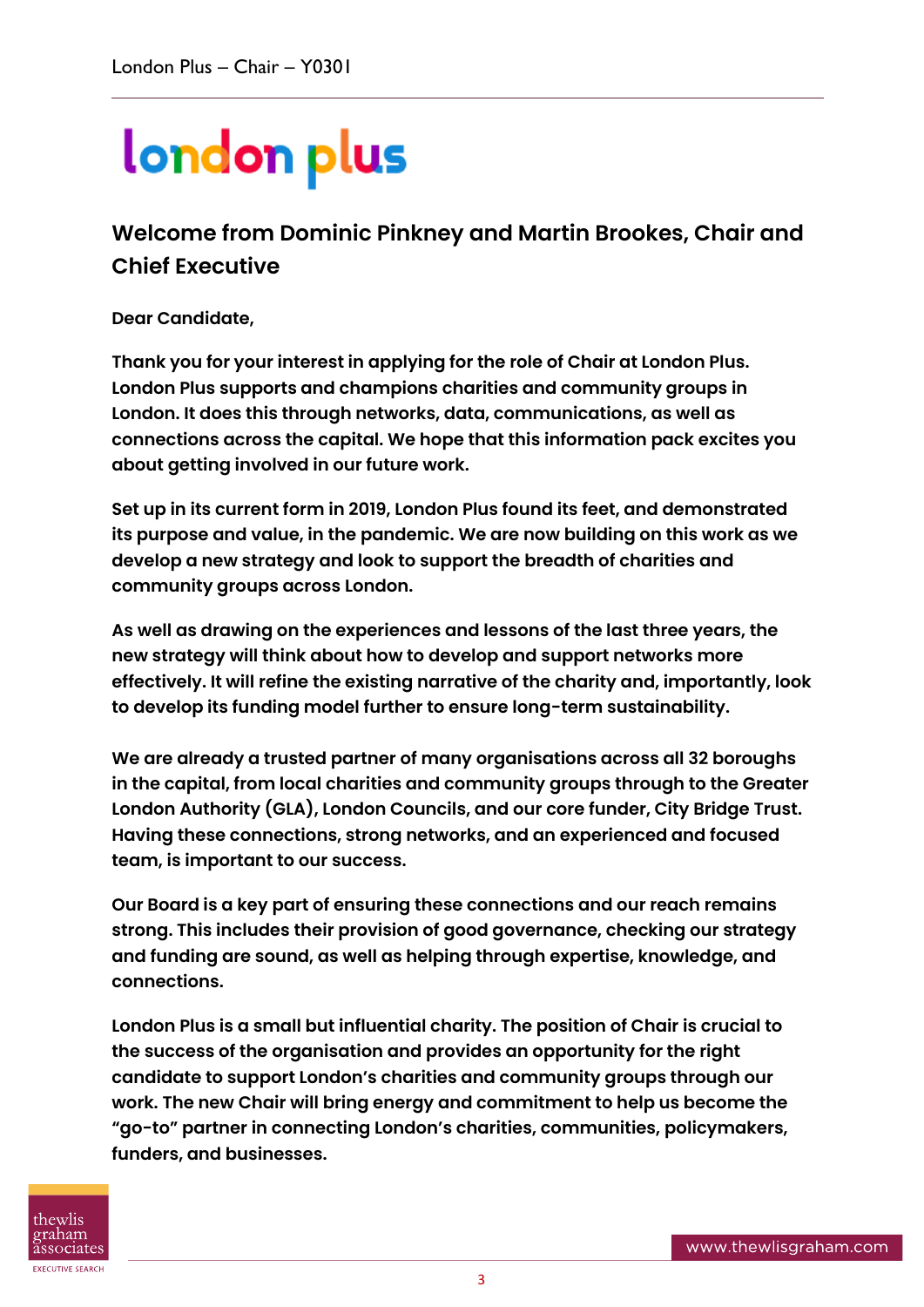# london plus

**Welcome from Dominic Pinkney and Martin Brookes, Chair and Chief Executive**

**Dear Candidate,** 

**Thank you for your interest in applying for the role of Chair at London Plus. London Plus supports and champions charities and community groups in London. It does this through networks, data, communications, as well as connections across the capital. We hope that this information pack excites you about getting involved in our future work.** 

**Set up in its current form in 2019, London Plus found its feet, and demonstrated its purpose and value, in the pandemic. We are now building on this work as we develop a new strategy and look to support the breadth of charities and community groups across London.**

**As well as drawing on the experiences and lessons of the last three years, the new strategy will think about how to develop and support networks more effectively. It will refine the existing narrative of the charity and, importantly, look to develop its funding model further to ensure long-term sustainability.** 

**We are already a trusted partner of many organisations across all 32 boroughs in the capital, from local charities and community groups through to the Greater London Authority (GLA), London Councils, and our core funder, City Bridge Trust. Having these connections, strong networks, and an experienced and focused team, is important to our success.** 

**Our Board is a key part of ensuring these connections and our reach remains strong. This includes their provision of good governance, checking our strategy and funding are sound, as well as helping through expertise, knowledge, and connections.** 

**London Plus is a small but influential charity. The position of Chair is crucial to the success of the organisation and provides an opportunity for the right candidate to support London's charities and community groups through our work. The new Chair will bring energy and commitment to help us become the "go-to" partner in connecting London's charities, communities, policymakers, funders, and businesses.** 

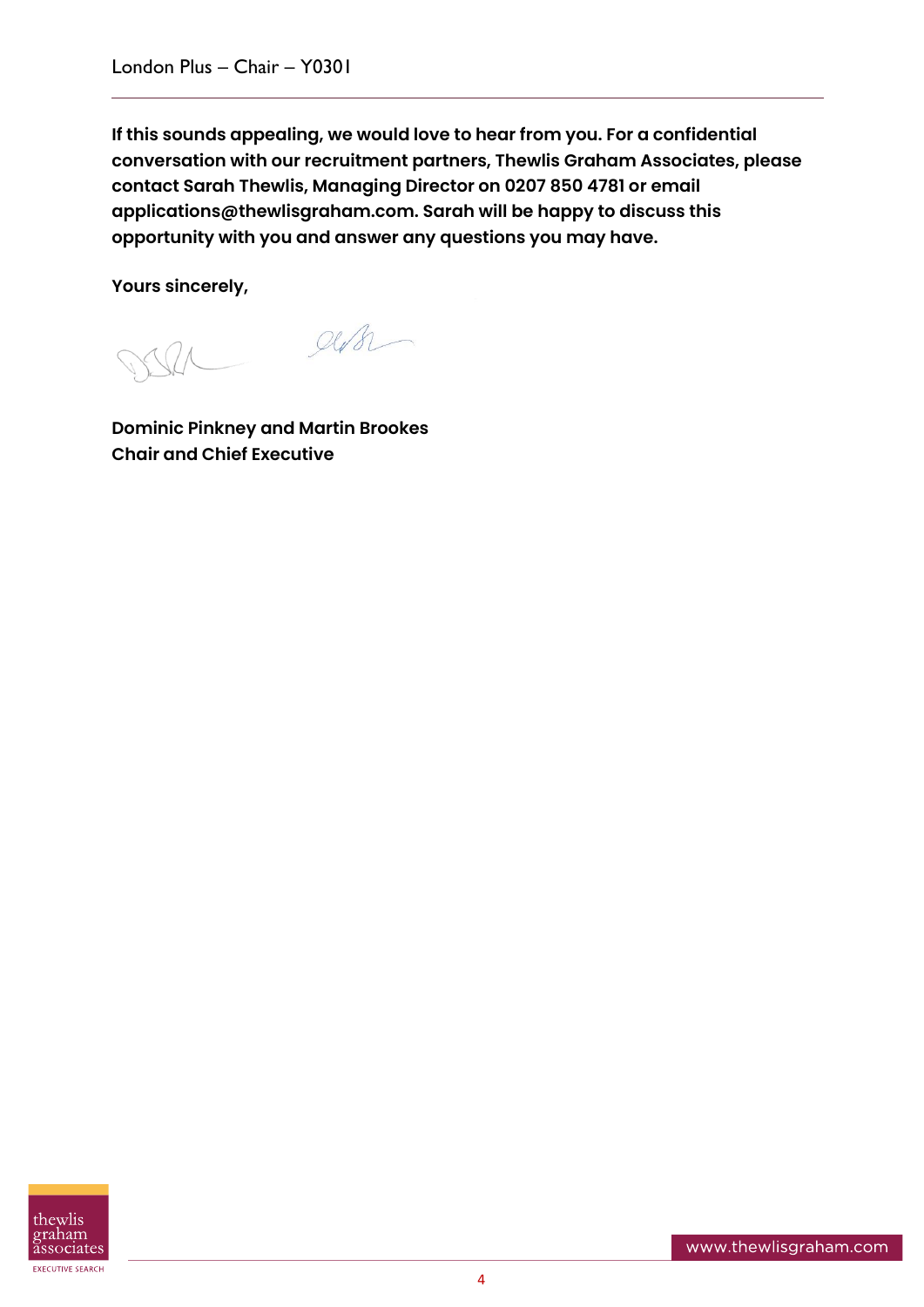**If this sounds appealing, we would love to hear from you. For a confidential conversation with our recruitment partners, Thewlis Graham Associates, please contact Sarah Thewlis, Managing Director on 0207 850 4781 or email applications@thewlisgraham.com. Sarah will be happy to discuss this opportunity with you and answer any questions you may have.** 

**Yours sincerely,**

 $QUB$ 

**Dominic Pinkney and Martin Brookes Chair and Chief Executive** 

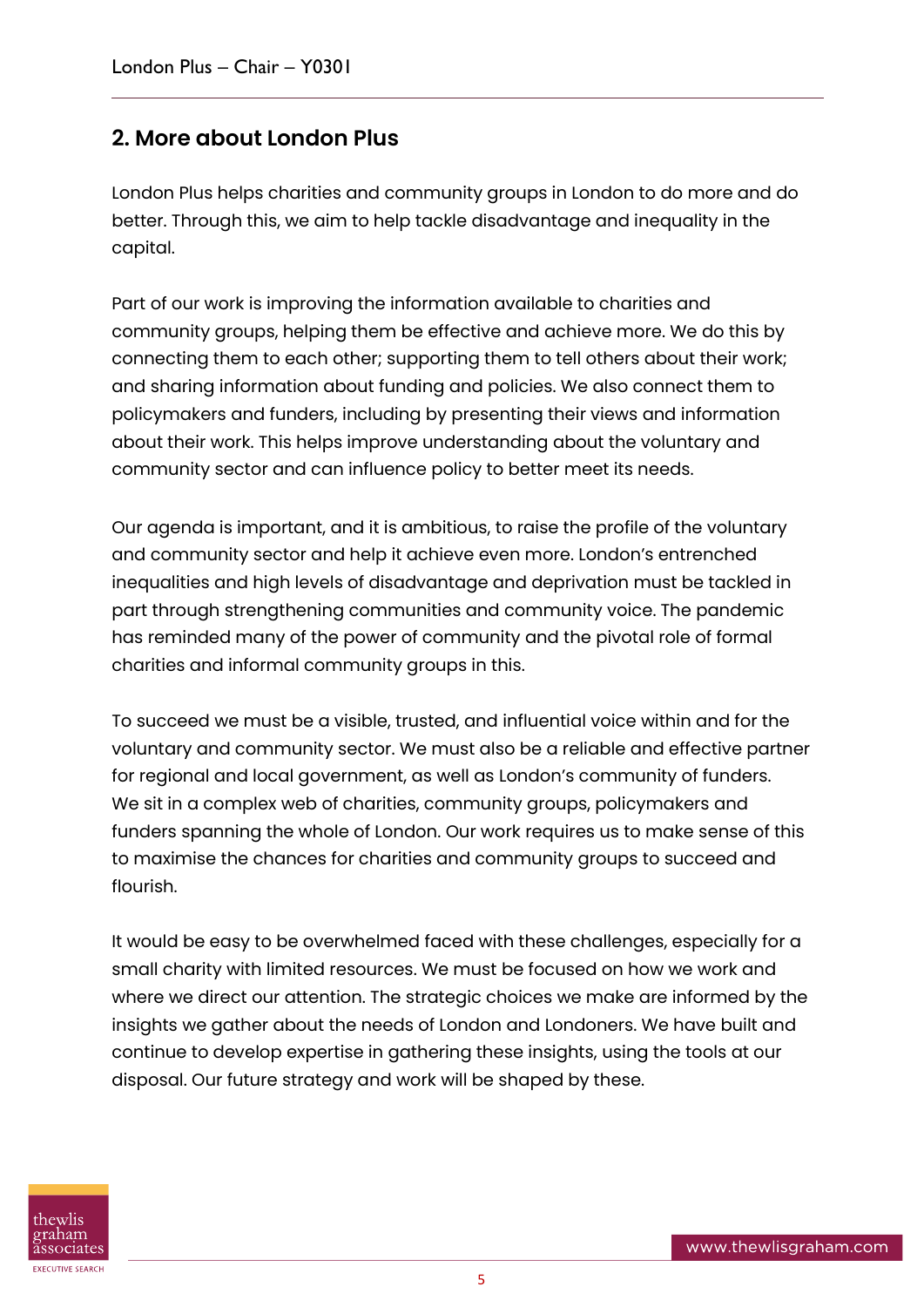#### **2. More about London Plus**

London Plus helps charities and community groups in London to do more and do better. Through this, we aim to help tackle disadvantage and inequality in the capital.

Part of our work is improving the information available to charities and community groups, helping them be effective and achieve more. We do this by connecting them to each other; supporting them to tell others about their work; and sharing information about funding and policies. We also connect them to policymakers and funders, including by presenting their views and information about their work. This helps improve understanding about the voluntary and community sector and can influence policy to better meet its needs.

Our agenda is important, and it is ambitious, to raise the profile of the voluntary and community sector and help it achieve even more. London's entrenched inequalities and high levels of disadvantage and deprivation must be tackled in part through strengthening communities and community voice. The pandemic has reminded many of the power of community and the pivotal role of formal charities and informal community groups in this.

To succeed we must be a visible, trusted, and influential voice within and for the voluntary and community sector. We must also be a reliable and effective partner for regional and local government, as well as London's community of funders. We sit in a complex web of charities, community groups, policymakers and funders spanning the whole of London. Our work requires us to make sense of this to maximise the chances for charities and community groups to succeed and flourish.

It would be easy to be overwhelmed faced with these challenges, especially for a small charity with limited resources. We must be focused on how we work and where we direct our attention. The strategic choices we make are informed by the insights we gather about the needs of London and Londoners. We have built and continue to develop expertise in gathering these insights, using the tools at our disposal. Our future strategy and work will be shaped by these.

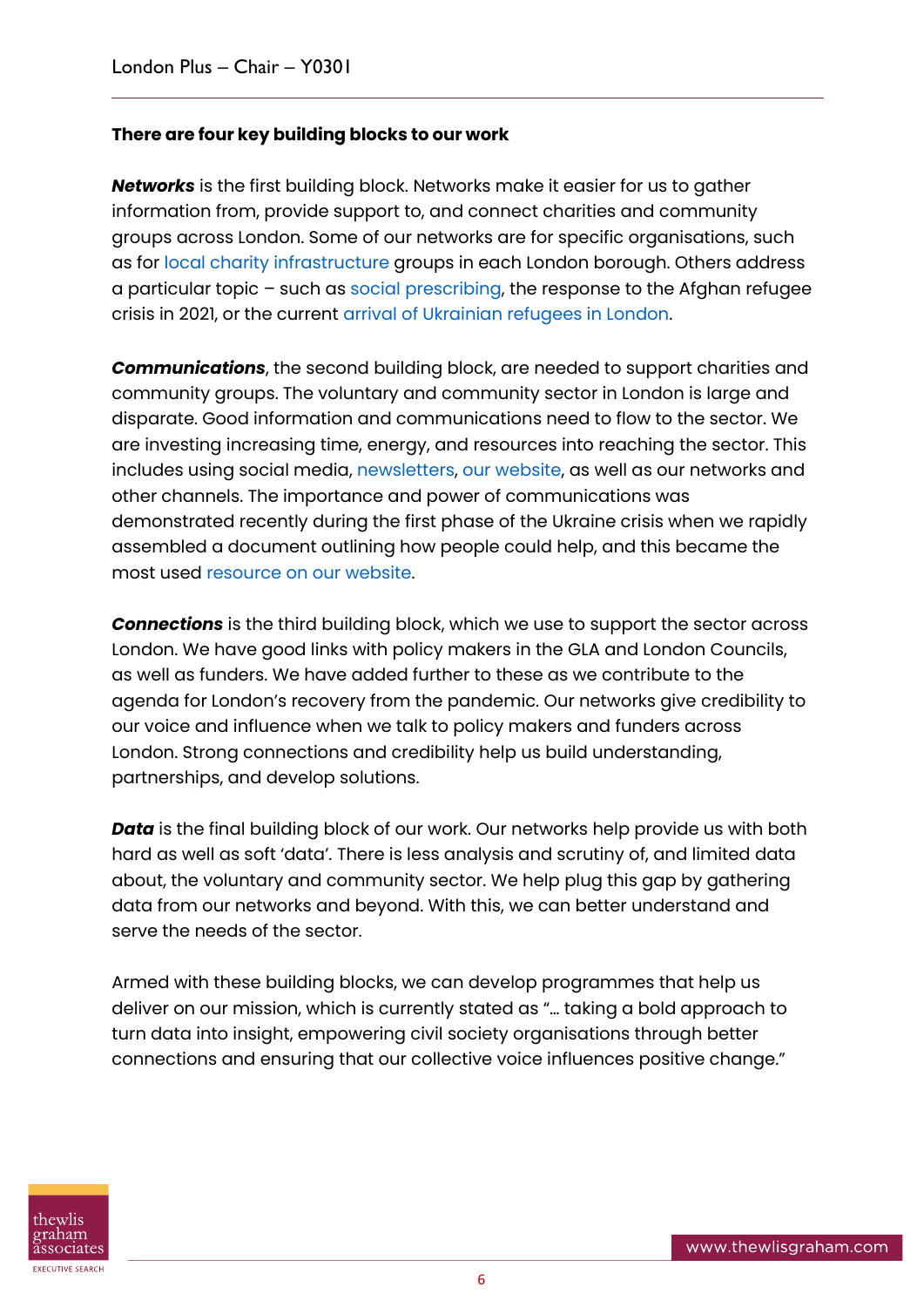#### **There are four key building blocks to our work**

*Networks* is the first building block. Networks make it easier for us to gather information from, provide support to, and connect charities and community groups across London. Some of our networks are for specific organisations, such as for [local charity infrastructure](https://londonplus.org/cvs-and-volunteer-centres) groups in each London borough. Others address a particular topic – such as [social prescribing,](https://londonplus.org/london-social-prescribing-network) the response to the Afghan refugee crisis in 2021, or the current [arrival of Ukrainian refugees in London.](https://londonplus.org/blog/ukraine-response-london-plus)

*Communications*, the second building block, are needed to support charities and community groups. The voluntary and community sector in London is large and disparate. Good information and communications need to flow to the sector. We are investing increasing time, energy, and resources into reaching the sector. This includes using social media, [newsletters,](https://londonplus.org/news/london-plus-april-2022-newsletter) [our website,](https://londonplus.org/) as well as our networks and other channels. The importance and power of communications was demonstrated recently during the first phase of the Ukraine crisis when we rapidly assembled a document outlining how people could help, and this became the most used [resource on our website.](https://londonplus.org/news/support-for-ukraine-crisis-london)

*Connections* is the third building block, which we use to support the sector across London. We have good links with policy makers in the GLA and London Councils, as well as funders. We have added further to these as we contribute to the agenda for London's recovery from the pandemic. Our networks give credibility to our voice and influence when we talk to policy makers and funders across London. Strong connections and credibility help us build understanding, partnerships, and develop solutions.

**Data** is the final building block of our work. Our networks help provide us with both hard as well as soft 'data'. There is less analysis and scrutiny of, and limited data about, the voluntary and community sector. We help plug this gap by gathering data from our networks and beyond. With this, we can better understand and serve the needs of the sector.

Armed with these building blocks, we can develop programmes that help us deliver on our mission, which is currently stated as "… taking a bold approach to turn data into insight, empowering civil society organisations through better connections and ensuring that our collective voice influences positive change."

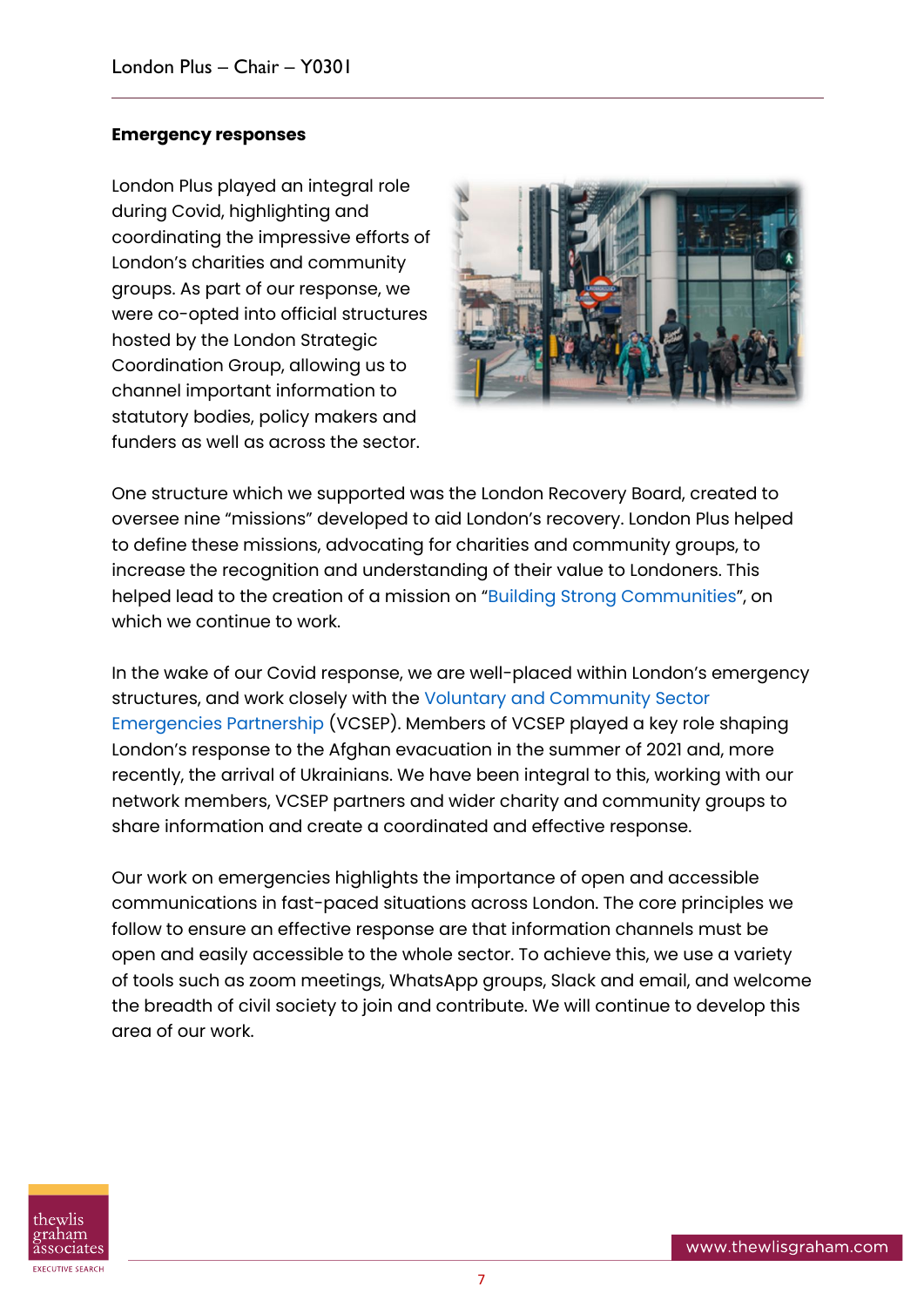#### **Emergency responses**

London Plus played an integral role during Covid, highlighting and coordinating the impressive efforts of London's charities and community groups. As part of our response, we were co-opted into official structures hosted by the London Strategic Coordination Group, allowing us to channel important information to statutory bodies, policy makers and funders as well as across the sector.



One structure which we supported was the London Recovery Board, created to oversee nine "missions" developed to aid London's recovery. London Plus helped to define these missions, advocating for charities and community groups, to increase the recognition and understanding of their value to Londoners. This helped lead to the creation of a mission on "[Building Strong Communities](https://www.london.gov.uk/coronavirus/londons-recovery-coronavirus-crisis/recovery-context/building-strong-communities)", on which we continue to work.

In the wake of our Covid response, we are well-placed within London's emergency structures, and work closely with the [Voluntary and Community Sector](https://vcsep.org.uk/)  [Emergencies Partnership](https://vcsep.org.uk/) (VCSEP). Members of VCSEP played a key role shaping London's response to the Afghan evacuation in the summer of 2021 and, more recently, the arrival of Ukrainians. We have been integral to this, working with our network members, VCSEP partners and wider charity and community groups to share information and create a coordinated and effective response.

Our work on emergencies highlights the importance of open and accessible communications in fast-paced situations across London. The core principles we follow to ensure an effective response are that information channels must be open and easily accessible to the whole sector. To achieve this, we use a variety of tools such as zoom meetings, WhatsApp groups, Slack and email, and welcome the breadth of civil society to join and contribute. We will continue to develop this area of our work.

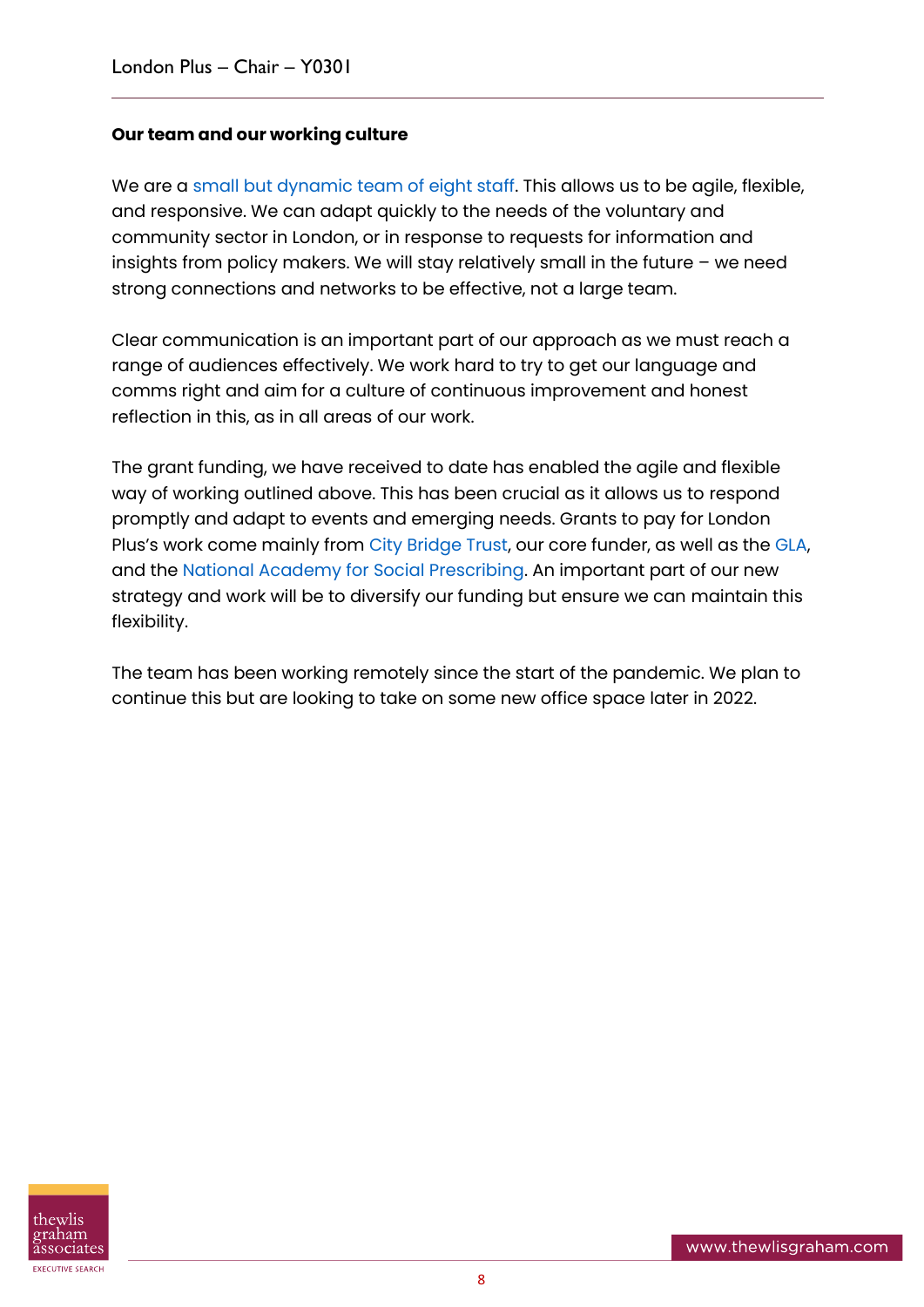#### **Our team and our working culture**

We are a [small but dynamic team of eight staff.](https://londonplus.org/about-london-plus) This allows us to be agile, flexible, and responsive. We can adapt quickly to the needs of the voluntary and community sector in London, or in response to requests for information and insights from policy makers. We will stay relatively small in the future – we need strong connections and networks to be effective, not a large team.

Clear communication is an important part of our approach as we must reach a range of audiences effectively. We work hard to try to get our language and comms right and aim for a culture of continuous improvement and honest reflection in this, as in all areas of our work.

The grant funding, we have received to date has enabled the agile and flexible way of working outlined above. This has been crucial as it allows us to respond promptly and adapt to events and emerging needs. Grants to pay for London Plus's work come mainly from [City Bridge Trust,](https://www.citybridgetrust.org.uk/) our core funder, as well as the [GLA,](https://www.london.gov.uk/) and the [National Academy for Social Prescribing.](https://socialprescribingacademy.org.uk/) An important part of our new strategy and work will be to diversify our funding but ensure we can maintain this flexibility.

The team has been working remotely since the start of the pandemic. We plan to continue this but are looking to take on some new office space later in 2022.

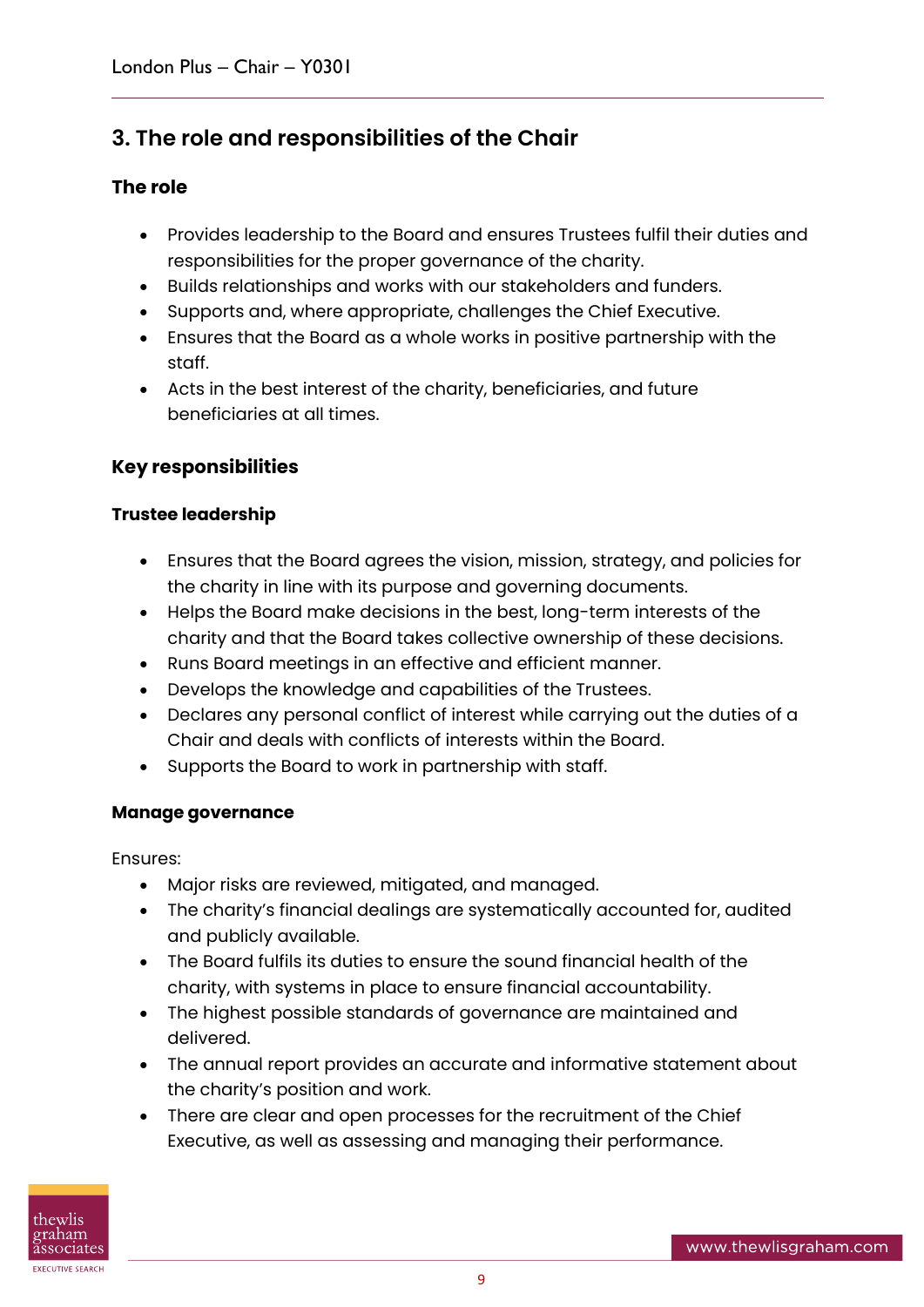#### **3. The role and responsibilities of the Chair**

#### **The role**

- Provides leadership to the Board and ensures Trustees fulfil their duties and responsibilities for the proper governance of the charity.
- Builds relationships and works with our stakeholders and funders.
- Supports and, where appropriate, challenges the Chief Executive.
- Ensures that the Board as a whole works in positive partnership with the staff.
- Acts in the best interest of the charity, beneficiaries, and future beneficiaries at all times.

#### **Key responsibilities**

#### **Trustee leadership**

- Ensures that the Board agrees the vision, mission, strategy, and policies for the charity in line with its purpose and governing documents.
- Helps the Board make decisions in the best, long-term interests of the charity and that the Board takes collective ownership of these decisions.
- Runs Board meetings in an effective and efficient manner.
- Develops the knowledge and capabilities of the Trustees.
- Declares any personal conflict of interest while carrying out the duties of a Chair and deals with conflicts of interests within the Board.
- Supports the Board to work in partnership with staff.

#### **Manage governance**

Ensures:

- Major risks are reviewed, mitigated, and managed.
- The charity's financial dealings are systematically accounted for, audited and publicly available.
- The Board fulfils its duties to ensure the sound financial health of the charity, with systems in place to ensure financial accountability.
- The highest possible standards of governance are maintained and delivered.
- The annual report provides an accurate and informative statement about the charity's position and work.
- There are clear and open processes for the recruitment of the Chief Executive, as well as assessing and managing their performance.

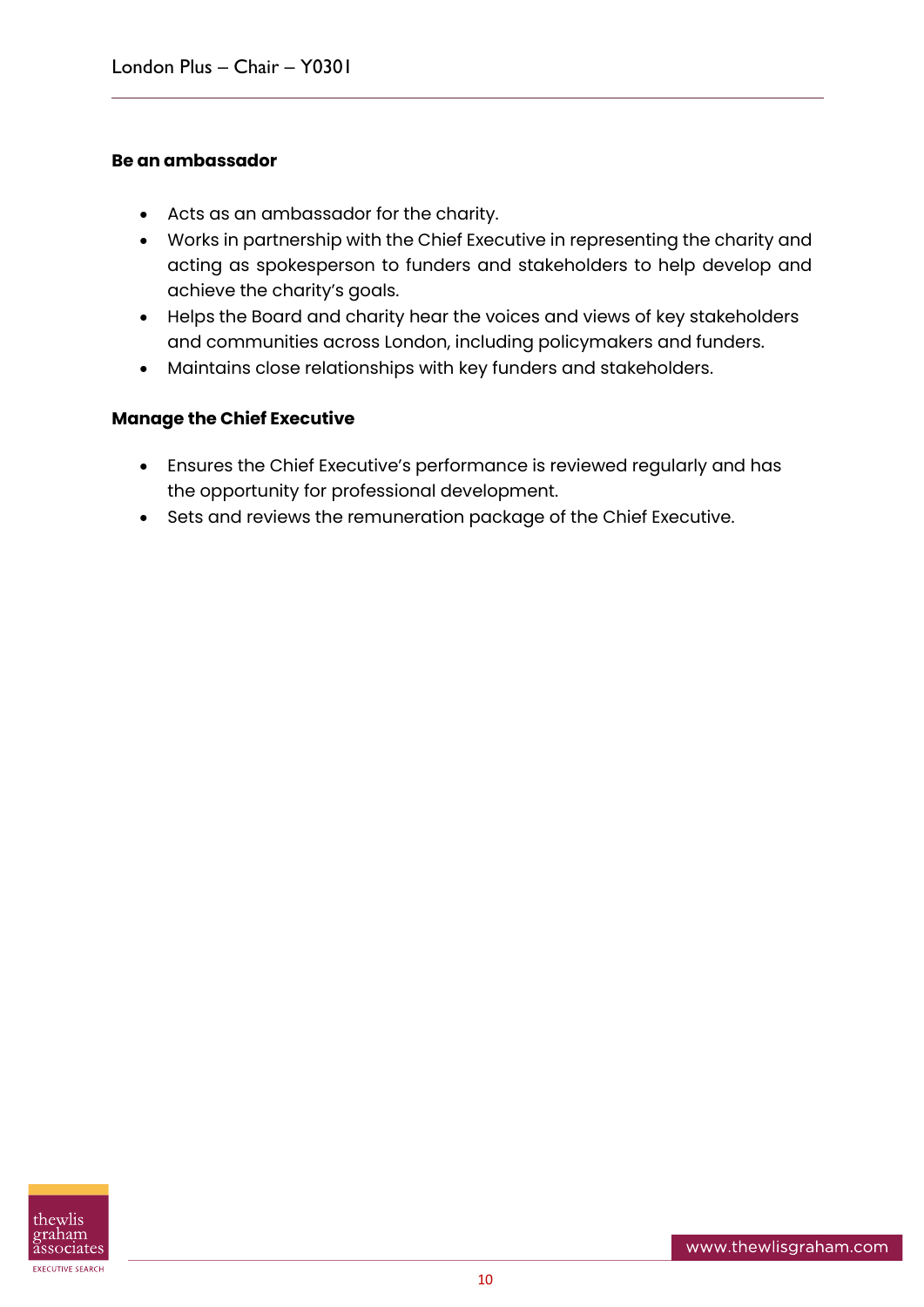#### **Be an ambassador**

- Acts as an ambassador for the charity.
- Works in partnership with the Chief Executive in representing the charity and acting as spokesperson to funders and stakeholders to help develop and achieve the charity's goals.
- Helps the Board and charity hear the voices and views of key stakeholders and communities across London, including policymakers and funders.
- Maintains close relationships with key funders and stakeholders.

#### **Manage the Chief Executive**

- Ensures the Chief Executive's performance is reviewed regularly and has the opportunity for professional development.
- Sets and reviews the remuneration package of the Chief Executive.

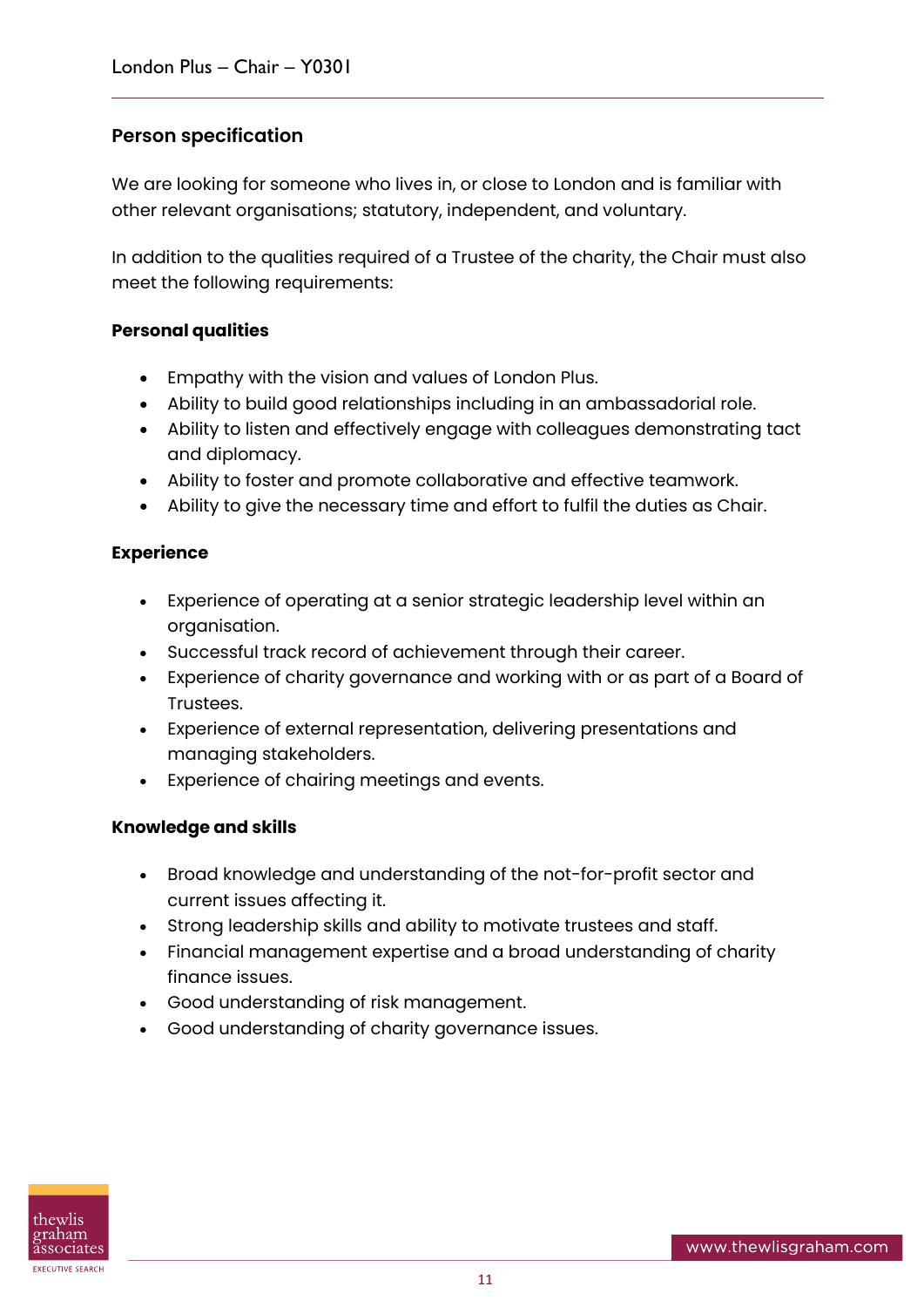#### **Person specification**

We are looking for someone who lives in, or close to London and is familiar with other relevant organisations; statutory, independent, and voluntary.

In addition to the qualities required of a Trustee of the charity, the Chair must also meet the following requirements:

#### **Personal qualities**

- Empathy with the vision and values of London Plus.
- Ability to build good relationships including in an ambassadorial role.
- Ability to listen and effectively engage with colleagues demonstrating tact and diplomacy.
- Ability to foster and promote collaborative and effective teamwork.
- Ability to give the necessary time and effort to fulfil the duties as Chair.

#### **Experience**

- Experience of operating at a senior strategic leadership level within an organisation.
- Successful track record of achievement through their career.
- Experience of charity governance and working with or as part of a Board of Trustees.
- Experience of external representation, delivering presentations and managing stakeholders.
- Experience of chairing meetings and events.

#### **Knowledge and skills**

- Broad knowledge and understanding of the not-for-profit sector and current issues affecting it.
- Strong leadership skills and ability to motivate trustees and staff.
- Financial management expertise and a broad understanding of charity finance issues.
- Good understanding of risk management.
- Good understanding of charity governance issues.

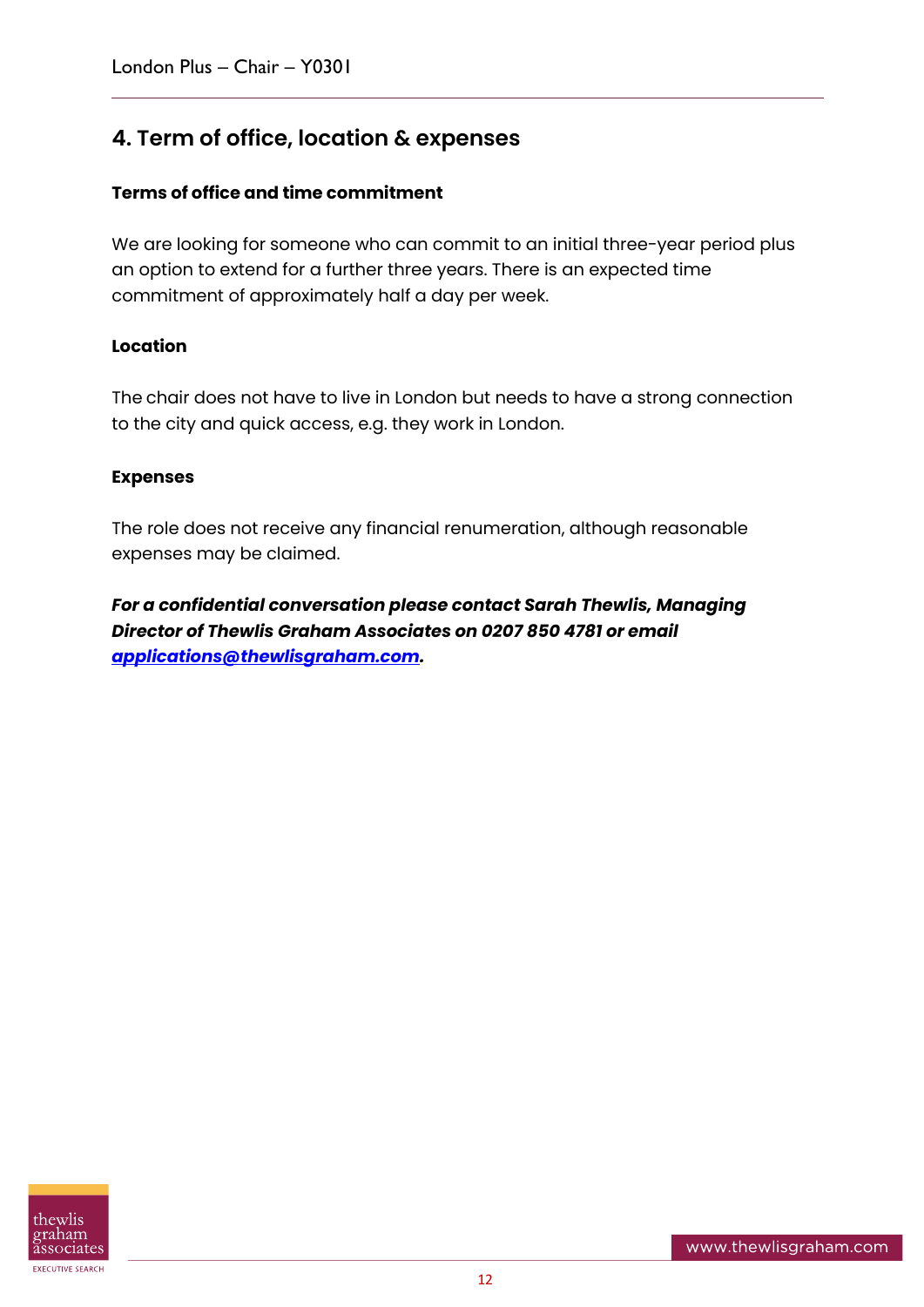#### **4. Term of office, location & expenses**

#### **Terms of office and time commitment**

We are looking for someone who can commit to an initial three-year period plus an option to extend for a further three years. There is an expected time commitment of approximately half a day per week.

#### **Location**

The chair does not have to live in London but needs to have a strong connection to the city and quick access, e.g. they work in London.

#### **Expenses**

The role does not receive any financial renumeration, although reasonable expenses may be claimed.

*For a confidential conversation please contact Sarah Thewlis, Managing Director of Thewlis Graham Associates on 0207 850 4781 or email [applications@thewlisgraham.com.](mailto:applications@thewlisgraham.com)*

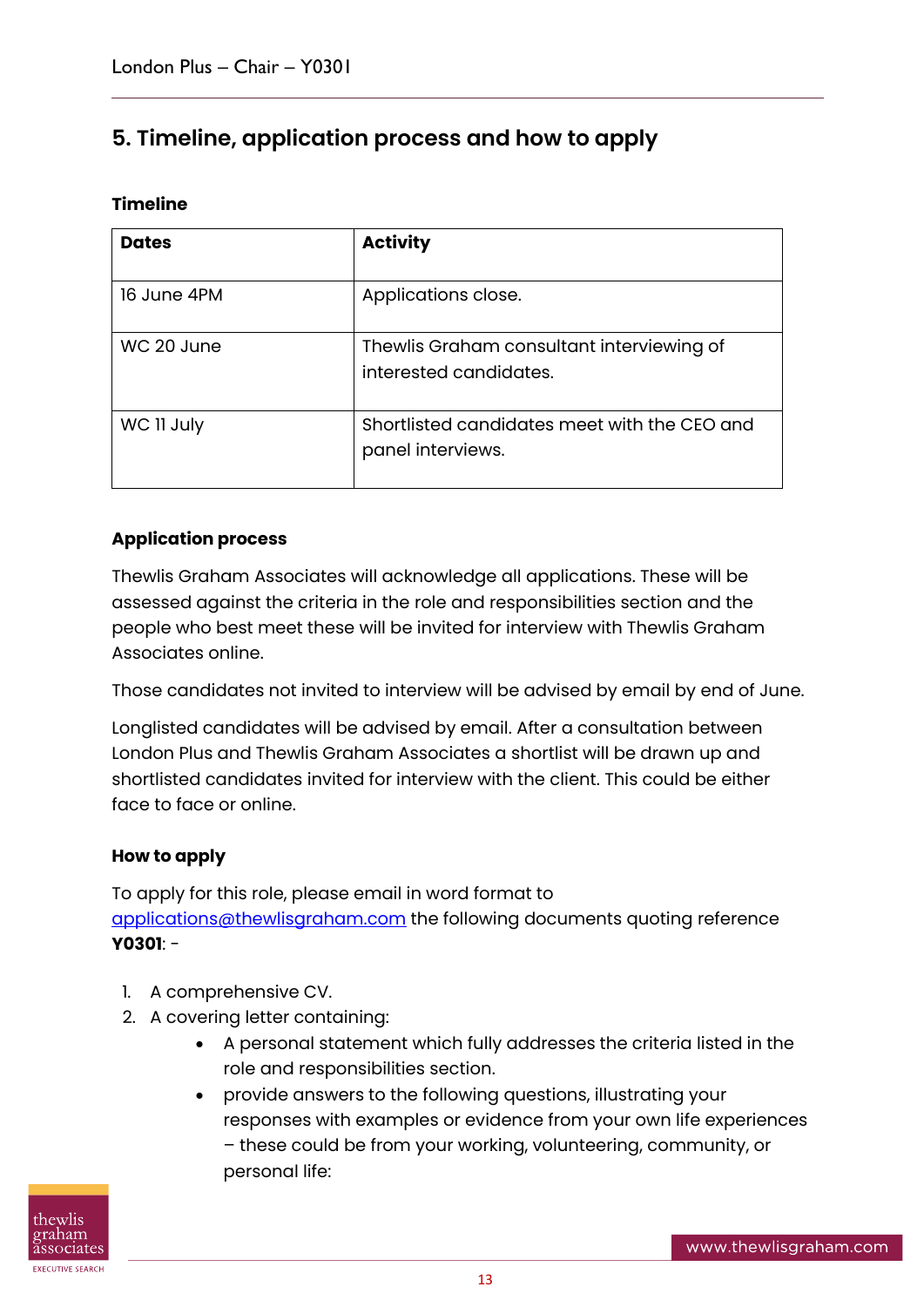#### **5. Timeline, application process and how to apply**

#### **Timeline**

| <b>Dates</b> | <b>Activity</b>                                                     |
|--------------|---------------------------------------------------------------------|
| 16 June 4PM  | Applications close.                                                 |
| WC 20 June   | Thewlis Graham consultant interviewing of<br>interested candidates. |
| WC II July   | Shortlisted candidates meet with the CEO and<br>panel interviews.   |

#### **Application process**

Thewlis Graham Associates will acknowledge all applications. These will be assessed against the criteria in the role and responsibilities section and the people who best meet these will be invited for interview with Thewlis Graham Associates online.

Those candidates not invited to interview will be advised by email by end of June.

Longlisted candidates will be advised by email. After a consultation between London Plus and Thewlis Graham Associates a shortlist will be drawn up and shortlisted candidates invited for interview with the client. This could be either face to face or online.

#### **How to apply**

To apply for this role, please email in word format to [applications@thewlisgraham.com](mailto:applications@thewlisgraham.com) the following documents quoting reference **Y0301**: -

- 1. A comprehensive CV.
- 2. A covering letter containing:
	- A personal statement which fully addresses the criteria listed in the role and responsibilities section.
	- provide answers to the following questions, illustrating your responses with examples or evidence from your own life experiences – these could be from your working, volunteering, community, or personal life:

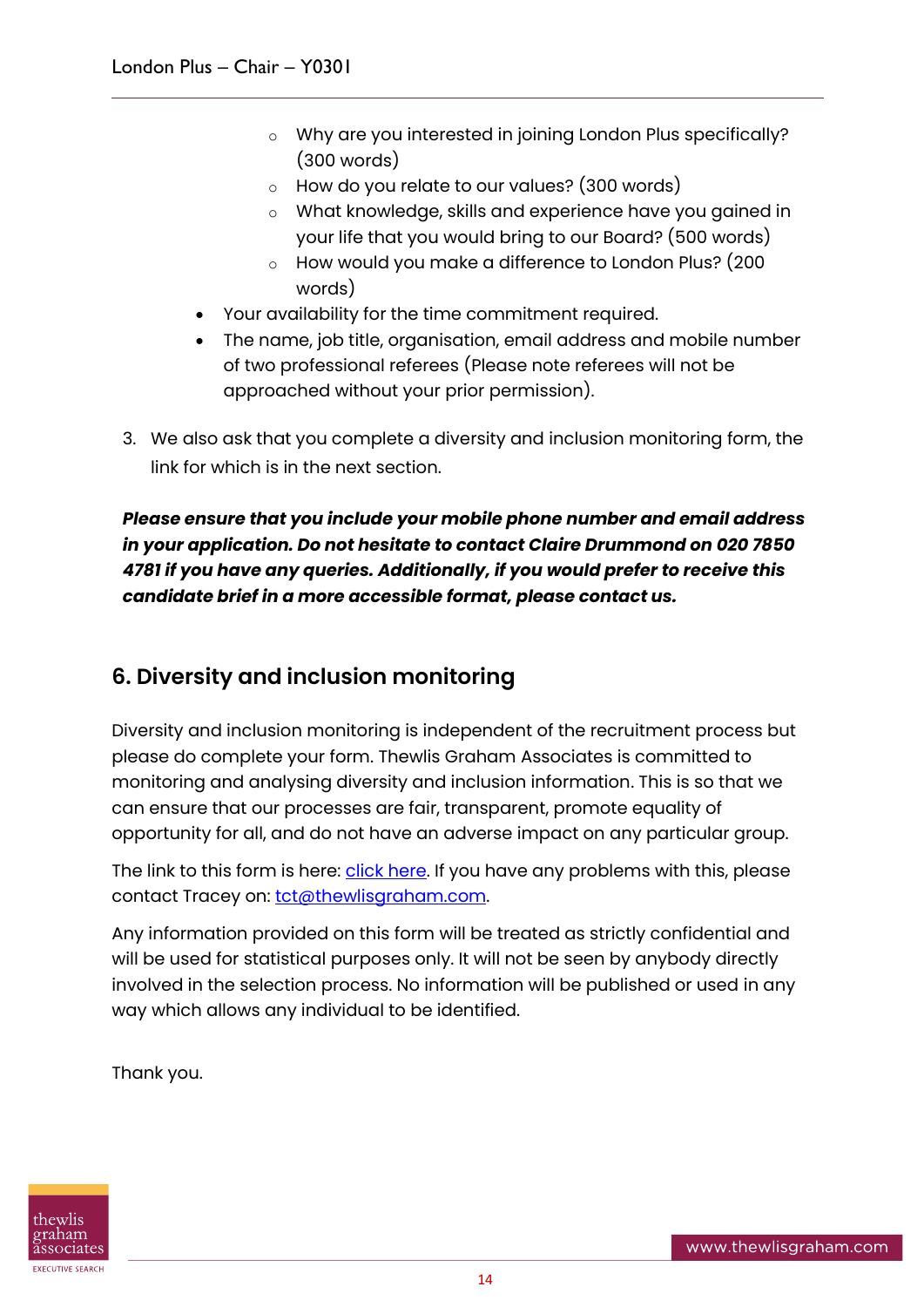- o Why are you interested in joining London Plus specifically? (300 words)
- o How do you relate to our values? (300 words)
- o What knowledge, skills and experience have you gained in your life that you would bring to our Board? (500 words)
- o How would you make a difference to London Plus? (200 words)
- Your availability for the time commitment required.
- The name, job title, organisation, email address and mobile number of two professional referees (Please note referees will not be approached without your prior permission).
- 3. We also ask that you complete a diversity and inclusion monitoring form, the link for which is in the next section.

*Please ensure that you include your mobile phone number and email address in your application. Do not hesitate to contact Claire Drummond on 020 7850 4781 if you have any queries. Additionally, if you would prefer to receive this candidate brief in a more accessible format, please contact us.*

#### **6. Diversity and inclusion monitoring**

Diversity and inclusion monitoring is independent of the recruitment process but please do complete your form. Thewlis Graham Associates is committed to monitoring and analysing diversity and inclusion information. This is so that we can ensure that our processes are fair, transparent, promote equality of opportunity for all, and do not have an adverse impact on any particular group.

The link to this form is here: *click here*. If you have any problems with this, please contact Tracey on: [tct@thewlisgraham.com.](mailto:tct@thewlisgraham.com)

Any information provided on this form will be treated as strictly confidential and will be used for statistical purposes only. It will not be seen by anybody directly involved in the selection process. No information will be published or used in any way which allows any individual to be identified.

Thank you.